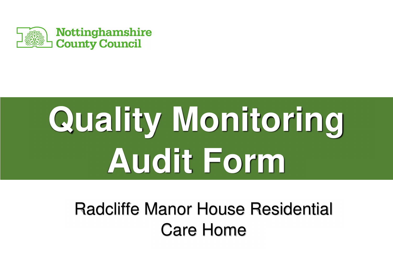

# **Quality Monitoring Audit Form**

 Radcliffe Manor House Residential Care Home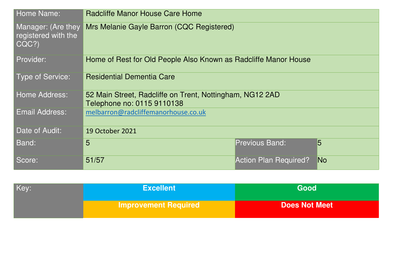| Home Name:                                         | Radcliffe Manor House Care Home                                                        |                              |    |
|----------------------------------------------------|----------------------------------------------------------------------------------------|------------------------------|----|
| Manager: (Are they<br>registered with the<br>CQC?) | Mrs Melanie Gayle Barron (CQC Registered)                                              |                              |    |
| Provider:                                          | Home of Rest for Old People Also Known as Radcliffe Manor House                        |                              |    |
| <b>Type of Service:</b>                            | <b>Residential Dementia Care</b>                                                       |                              |    |
| Home Address:                                      | 52 Main Street, Radcliffe on Trent, Nottingham, NG12 2AD<br>Telephone no: 0115 9110138 |                              |    |
| <b>Email Address:</b>                              | melbarron@radcliffemanorhouse.co.uk                                                    |                              |    |
| Date of Audit:                                     | 19 October 2021                                                                        |                              |    |
| Band:                                              | 5                                                                                      | <b>Previous Band:</b>        | 5  |
| Score:                                             | 51/57                                                                                  | <b>Action Plan Required?</b> | No |

| Key: | <b>Excellent</b>            | Good                 |
|------|-----------------------------|----------------------|
|      | <b>Improvement Required</b> | <b>Does Not Meet</b> |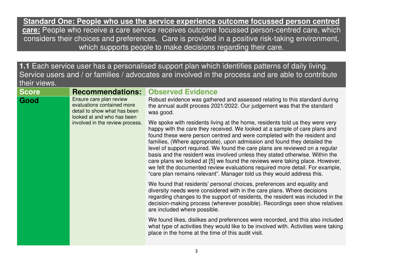**Standard One: People who use the service experience outcome focussed person centred care:** People who receive a care service receives outcome focussed person-centred care, which considers their choices and preferences. Care is provided in a positive risk-taking environment, which supports people to make decisions regarding their care.

**1.1** Each service user has a personalised support plan which identifies patterns of daily living. Service users and / or families / advocates are involved in the process and are able to contribute their views.

| <b>Recommendations:</b>                                                                                                                                                 | <b>Observed Evidence</b>                                                                                                                                                                                                                                                                                                                                                                                                                                                                                                                                                                                                                                                                                                      |
|-------------------------------------------------------------------------------------------------------------------------------------------------------------------------|-------------------------------------------------------------------------------------------------------------------------------------------------------------------------------------------------------------------------------------------------------------------------------------------------------------------------------------------------------------------------------------------------------------------------------------------------------------------------------------------------------------------------------------------------------------------------------------------------------------------------------------------------------------------------------------------------------------------------------|
| Score<br>Ensure care plan review<br>Good<br>evaluations contained more<br>detail to show what has been<br>looked at and who has been<br>involved in the review process. | Robust evidence was gathered and assessed relating to this standard during<br>the annual audit process 2021/2022. Our judgement was that the standard<br>was good.                                                                                                                                                                                                                                                                                                                                                                                                                                                                                                                                                            |
|                                                                                                                                                                         | We spoke with residents living at the home, residents told us they were very<br>happy with the care they received. We looked at a sample of care plans and<br>found these were person centred and were completed with the resident and<br>families, (Where appropriate), upon admission and found they detailed the<br>level of support required. We found the care plans are reviewed on a regular<br>basis and the resident was involved unless they stated otherwise. Within the<br>care plans we looked at [5] we found the reviews were taking place. However,<br>we felt the documented review evaluations required more detail. For example,<br>"care plan remains relevant". Manager told us they would address this. |
|                                                                                                                                                                         | We found that residents' personal choices, preferences and equality and<br>diversity needs were considered with in the care plans. Where decisions<br>regarding changes to the support of residents, the resident was included in the<br>decision-making process (wherever possible). Recordings seen show relatives<br>are included where possible.                                                                                                                                                                                                                                                                                                                                                                          |
|                                                                                                                                                                         | We found likes, dislikes and preferences were recorded, and this also included<br>what type of activities they would like to be involved with. Activities were taking<br>place in the home at the time of this audit visit.                                                                                                                                                                                                                                                                                                                                                                                                                                                                                                   |
|                                                                                                                                                                         |                                                                                                                                                                                                                                                                                                                                                                                                                                                                                                                                                                                                                                                                                                                               |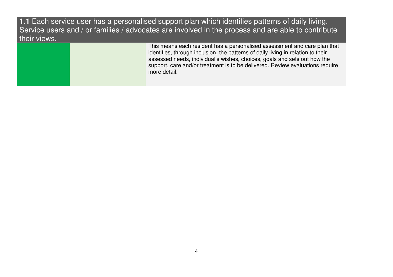**1.1** Each service user has a personalised support plan which identifies patterns of daily living. Service users and / or families / advocates are involved in the process and are able to contribute their views.

> This means each resident has a personalised assessment and care plan that identifies, through inclusion, the patterns of daily living in relation to their assessed needs, individual's wishes, choices, goals and sets out how the support, care and/or treatment is to be delivered. Review evaluations require more detail.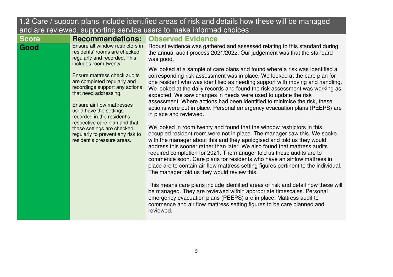| <b>In the case of the property provided</b> increase the case of non-and-actually now these will be managed<br>and are reviewed, supporting service users to make informed choices.                                                                                                                                                           |                                                                                                                                                                                                                                                                                                                                                                                                                                                                                                                                                                                                     |                                                                                                                                                                                                                                                                                                                       |
|-----------------------------------------------------------------------------------------------------------------------------------------------------------------------------------------------------------------------------------------------------------------------------------------------------------------------------------------------|-----------------------------------------------------------------------------------------------------------------------------------------------------------------------------------------------------------------------------------------------------------------------------------------------------------------------------------------------------------------------------------------------------------------------------------------------------------------------------------------------------------------------------------------------------------------------------------------------------|-----------------------------------------------------------------------------------------------------------------------------------------------------------------------------------------------------------------------------------------------------------------------------------------------------------------------|
| <b>Score</b>                                                                                                                                                                                                                                                                                                                                  | <b>Recommendations:</b>                                                                                                                                                                                                                                                                                                                                                                                                                                                                                                                                                                             | <b>Observed Evidence</b>                                                                                                                                                                                                                                                                                              |
| Good                                                                                                                                                                                                                                                                                                                                          | Ensure all window restrictors in<br>residents' rooms are checked<br>regularly and recorded. This<br>includes room twenty.                                                                                                                                                                                                                                                                                                                                                                                                                                                                           | Robust evidence was gathered and assessed relating to this standard during<br>the annual audit process 2021/2022. Our judgement was that the standard<br>was good.                                                                                                                                                    |
| Ensure mattress check audits<br>are completed regularly and<br>recordings support any actions<br>that need addressing.<br>Ensure air flow mattresses<br>used have the settings<br>recorded in the resident's<br>respective care plan and that<br>these settings are checked<br>regularly to prevent any risk to<br>resident's pressure areas. | We looked at a sample of care plans and found where a risk was identified a<br>corresponding risk assessment was in place. We looked at the care plan for<br>one resident who was identified as needing support with moving and handling.<br>We looked at the daily records and found the risk assessment was working as<br>expected. We saw changes in needs were used to update the risk<br>assessment. Where actions had been identified to minimise the risk, these<br>actions were put in place. Personal emergency evacuation plans (PEEPS) are<br>in place and reviewed.                     |                                                                                                                                                                                                                                                                                                                       |
|                                                                                                                                                                                                                                                                                                                                               | We looked in room twenty and found that the window restrictors in this<br>occupied resident room were not in place. The manager saw this. We spoke<br>with the manager about this and they apologised and told us they would<br>address this sooner rather than later. We also found that mattress audits<br>required completion for 2021. The manager told us these audits are to<br>commence soon. Care plans for residents who have an airflow mattress in<br>place are to contain air flow mattress setting figures pertinent to the individual.<br>The manager told us they would review this. |                                                                                                                                                                                                                                                                                                                       |
|                                                                                                                                                                                                                                                                                                                                               |                                                                                                                                                                                                                                                                                                                                                                                                                                                                                                                                                                                                     | This means care plans include identified areas of risk and detail how these will<br>be managed. They are reviewed within appropriate timescales. Personal<br>emergency evacuation plans (PEEPS) are in place. Mattress audit to<br>commence and air flow mattress setting figures to be care planned and<br>reviewed. |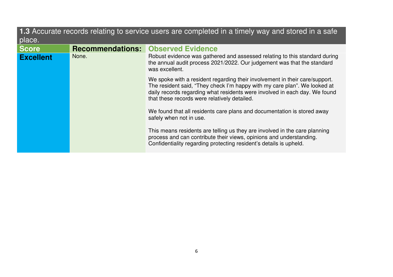| 1.3 Accurate records relating to service users are completed in a timely way and stored in a safe<br>place. |                                           |                                                                                                                                                                                                                                                                                        |
|-------------------------------------------------------------------------------------------------------------|-------------------------------------------|----------------------------------------------------------------------------------------------------------------------------------------------------------------------------------------------------------------------------------------------------------------------------------------|
| <b>Score</b>                                                                                                | <b>Recommendations: Observed Evidence</b> |                                                                                                                                                                                                                                                                                        |
| <b>Excellent</b>                                                                                            | None.                                     | Robust evidence was gathered and assessed relating to this standard during<br>the annual audit process 2021/2022. Our judgement was that the standard<br>was excellent.                                                                                                                |
|                                                                                                             |                                           | We spoke with a resident regarding their involvement in their care/support.<br>The resident said, "They check I'm happy with my care plan". We looked at<br>daily records regarding what residents were involved in each day. We found<br>that these records were relatively detailed. |
|                                                                                                             |                                           | We found that all residents care plans and documentation is stored away<br>safely when not in use.                                                                                                                                                                                     |
|                                                                                                             |                                           | This means residents are telling us they are involved in the care planning<br>process and can contribute their views, opinions and understanding.<br>Confidentiality regarding protecting resident's details is upheld.                                                                |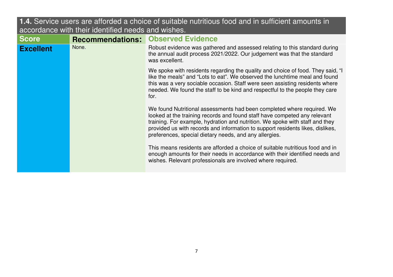| accordance with their identified heeds and wishes. |                         |                                                                                                                                                                                                                                                                                                                                                                                 |
|----------------------------------------------------|-------------------------|---------------------------------------------------------------------------------------------------------------------------------------------------------------------------------------------------------------------------------------------------------------------------------------------------------------------------------------------------------------------------------|
| <b>Score</b>                                       | <b>Recommendations:</b> | <b>Observed Evidence</b>                                                                                                                                                                                                                                                                                                                                                        |
| <b>Excellent</b>                                   | None.                   | Robust evidence was gathered and assessed relating to this standard during<br>the annual audit process 2021/2022. Our judgement was that the standard<br>was excellent.                                                                                                                                                                                                         |
|                                                    |                         | We spoke with residents regarding the quality and choice of food. They said, "I<br>like the meals" and "Lots to eat". We observed the lunchtime meal and found<br>this was a very sociable occasion. Staff were seen assisting residents where<br>needed. We found the staff to be kind and respectful to the people they care<br>for.                                          |
|                                                    |                         | We found Nutritional assessments had been completed where required. We<br>looked at the training records and found staff have competed any relevant<br>training. For example, hydration and nutrition. We spoke with staff and they<br>provided us with records and information to support residents likes, dislikes,<br>preferences, special dietary needs, and any allergies. |
|                                                    |                         | This means residents are afforded a choice of suitable nutritious food and in<br>enough amounts for their needs in accordance with their identified needs and<br>wishes. Relevant professionals are involved where required.                                                                                                                                                    |

**1.4.** Service users are afforded a choice of suitable nutritious food and in sufficient amounts in accordance with their identified needs and wishes.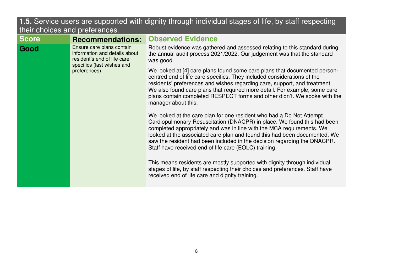## **1.5.** Service users are supported with dignity through individual stages of life, by staff respecting their choices and preferences.

| <b>Score</b>                                                                                                                                     | <b>Recommendations:</b>                                                                                                                                                                                                                                                                                                                                                                                                                    | <b>Observed Evidence</b>                                                                                                                                                                                      |
|--------------------------------------------------------------------------------------------------------------------------------------------------|--------------------------------------------------------------------------------------------------------------------------------------------------------------------------------------------------------------------------------------------------------------------------------------------------------------------------------------------------------------------------------------------------------------------------------------------|---------------------------------------------------------------------------------------------------------------------------------------------------------------------------------------------------------------|
| Ensure care plans contain<br>Good<br>information and details about<br>resident's end of life care<br>specifics (last wishes and<br>preferences). | Robust evidence was gathered and assessed relating to this standard during<br>the annual audit process 2021/2022. Our judgement was that the standard<br>was good.                                                                                                                                                                                                                                                                         |                                                                                                                                                                                                               |
|                                                                                                                                                  | We looked at [4] care plans found some care plans that documented person-<br>centred end of life care specifics. They included considerations of the<br>residents' preferences and wishes regarding care, support, and treatment.<br>We also found care plans that required more detail. For example, some care<br>plans contain completed RESPECT forms and other didn't. We spoke with the<br>manager about this.                        |                                                                                                                                                                                                               |
|                                                                                                                                                  | We looked at the care plan for one resident who had a Do Not Attempt<br>Cardiopulmonary Resuscitation (DNACPR) in place. We found this had been<br>completed appropriately and was in line with the MCA requirements. We<br>looked at the associated care plan and found this had been documented. We<br>saw the resident had been included in the decision regarding the DNACPR.<br>Staff have received end of life care (EOLC) training. |                                                                                                                                                                                                               |
|                                                                                                                                                  |                                                                                                                                                                                                                                                                                                                                                                                                                                            | This means residents are mostly supported with dignity through individual<br>stages of life, by staff respecting their choices and preferences. Staff have<br>received end of life care and dignity training. |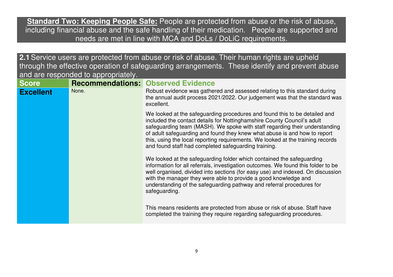**Standard Two: Keeping People Safe:** People are protected from abuse or the risk of abuse, including financial abuse and the safe handling of their medication. People are supported and needs are met in line with MCA and DoLs / DoLiC requirements.

**2.1**Service users are protected from abuse or risk of abuse. Their human rights are upheld through the effective operation of safeguarding arrangements. These identify and prevent abuse and are responded to appropriately.

| <b>Score</b>     | <b>Recommendations: Observed Evidence</b> |                                                                                                                                                                                                                                                                                                                                                                                                                                                              |
|------------------|-------------------------------------------|--------------------------------------------------------------------------------------------------------------------------------------------------------------------------------------------------------------------------------------------------------------------------------------------------------------------------------------------------------------------------------------------------------------------------------------------------------------|
| <b>Excellent</b> | None.                                     | Robust evidence was gathered and assessed relating to this standard during<br>the annual audit process 2021/2022. Our judgement was that the standard was<br>excellent.                                                                                                                                                                                                                                                                                      |
|                  |                                           | We looked at the safeguarding procedures and found this to be detailed and<br>included the contact details for Nottinghamshire County Council's adult<br>safeguarding team (MASH). We spoke with staff regarding their understanding<br>of adult safeguarding and found they knew what abuse is and how to report<br>this, using the local reporting requirements. We looked at the training records<br>and found staff had completed safeguarding training. |
|                  |                                           | We looked at the safeguarding folder which contained the safeguarding<br>information for all referrals, investigation outcomes. We found this folder to be<br>well organised, divided into sections (for easy use) and indexed. On discussion<br>with the manager they were able to provide a good knowledge and<br>understanding of the safeguarding pathway and referral procedures for<br>safeguarding.                                                   |
|                  |                                           | This means residents are protected from abuse or risk of abuse. Staff have<br>completed the training they require regarding safeguarding procedures.                                                                                                                                                                                                                                                                                                         |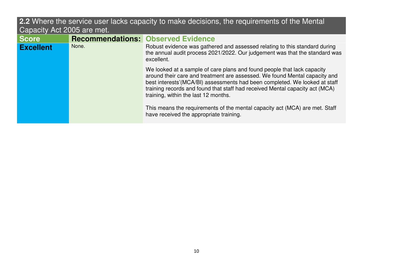## **2.2** Where the service user lacks capacity to make decisions, the requirements of the Mental Capacity Act 2005 are met.

| <b>Score</b>     | <b>Recommendations: Observed Evidence</b> |                                                                                                                                                                                                                                                                                                                                                             |
|------------------|-------------------------------------------|-------------------------------------------------------------------------------------------------------------------------------------------------------------------------------------------------------------------------------------------------------------------------------------------------------------------------------------------------------------|
| <b>Excellent</b> | None.                                     | Robust evidence was gathered and assessed relating to this standard during<br>the annual audit process 2021/2022. Our judgement was that the standard was<br>excellent.                                                                                                                                                                                     |
|                  |                                           | We looked at a sample of care plans and found people that lack capacity<br>around their care and treatment are assessed. We found Mental capacity and<br>best interests'(MCA/BI) assessments had been completed. We looked at staff<br>training records and found that staff had received Mental capacity act (MCA)<br>training, within the last 12 months. |
|                  |                                           | This means the requirements of the mental capacity act (MCA) are met. Staff<br>have received the appropriate training.                                                                                                                                                                                                                                      |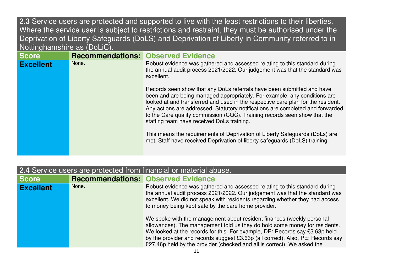**2.3** Service users are protected and supported to live with the least restrictions to their liberties. Where the service user is subject to restrictions and restraint, they must be authorised under the Deprivation of Liberty Safeguards (DoLS) and Deprivation of Liberty in Community referred to in Nottinghamshire as (DoLiC).

| <b>Score</b>     |       | <b>Recommendations: Observed Evidence</b>                                                                                                                                                                                                                                                                                                                                                                                                            |
|------------------|-------|------------------------------------------------------------------------------------------------------------------------------------------------------------------------------------------------------------------------------------------------------------------------------------------------------------------------------------------------------------------------------------------------------------------------------------------------------|
| <b>Excellent</b> | None. | Robust evidence was gathered and assessed relating to this standard during<br>the annual audit process 2021/2022. Our judgement was that the standard was<br>excellent.                                                                                                                                                                                                                                                                              |
|                  |       | Records seen show that any DoLs referrals have been submitted and have<br>been and are being managed appropriately. For example, any conditions are<br>looked at and transferred and used in the respective care plan for the resident.<br>Any actions are addressed. Statutory notifications are completed and forwarded<br>to the Care quality commission (CQC). Training records seen show that the<br>staffing team have received DoLs training. |
|                  |       | This means the requirements of Deprivation of Liberty Safeguards (DoLs) are<br>met. Staff have received Deprivation of liberty safeguards (DoLS) training.                                                                                                                                                                                                                                                                                           |

| <b>2.4</b> Service users are protected from financial or material abuse. |       |                                                                                                                                                                                                                                                                                                                                                                                                  |
|--------------------------------------------------------------------------|-------|--------------------------------------------------------------------------------------------------------------------------------------------------------------------------------------------------------------------------------------------------------------------------------------------------------------------------------------------------------------------------------------------------|
| <b>Score</b>                                                             |       | <b>Recommendations: Observed Evidence</b>                                                                                                                                                                                                                                                                                                                                                        |
| <b>Excellent</b>                                                         | None. | Robust evidence was gathered and assessed relating to this standard during<br>the annual audit process 2021/2022. Our judgement was that the standard was<br>excellent. We did not speak with residents regarding whether they had access<br>to money being kept safe by the care home provider.                                                                                                 |
|                                                                          |       | We spoke with the management about resident finances (weekly personal<br>allowances). The management told us they do hold some money for residents.<br>We looked at the records for this. For example, DE: Records say £3.63p held<br>by the provider and records suggest £3.63p (all correct). Also, PE: Records say<br>£27.46p held by the provider (checked and all is correct). We asked the |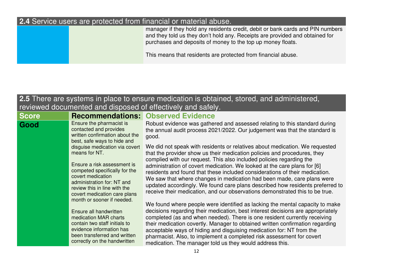#### **2.4** Service users are protected from financial or material abuse.

 manager if they hold any residents credit, debit or bank cards and PIN numbers and they told us they don't hold any. Receipts are provided and obtained for purchases and deposits of money to the top up money floats.

This means that residents are protected from financial abuse.

#### **2.5** There are systems in place to ensure medication is obtained, stored, and administered, reviewed documented and disposed of effectively and safely.**ScoreRecommendations: Observed Evidence**<br> **Good** Ensure the pharmacist is Robust evidence was gather contacted and provides written confirmation about the best, safe ways to hide and disguise medication via covert means for NT. Ensure a risk assessment is competed specifically for the covert medication administration for: NT and review this in line with the covert medication care plans month or sooner if needed. Ensure all handwritten medication MAR charts contain two staff initials to evidence information has been transferred and written correctly on the handwritten Robust evidence was gathered and assessed relating to this standard during the annual audit process 2021/2022. Our judgement was that the standard is good. We did not speak with residents or relatives about medication. We requested that the provider show us their medication policies and procedures, they complied with our request. This also included policies regarding the administration of covert medication. We looked at the care plans for [6] residents and found that these included considerations of their medication. We saw that where changes in medication had been made, care plans were updated accordingly. We found care plans described how residents preferred to receive their medication, and our observations demonstrated this to be true. We found where people were identified as lacking the mental capacity to make decisions regarding their medication, best interest decisions are appropriately completed (as and when needed). There is one resident currently receiving their medication covertly. Manager to obtained written confirmation regarding acceptable ways of hiding and disguising medication for: NT from the pharmacist. Also, to implement a completed risk assessment for covert medication. The manager told us they would address this.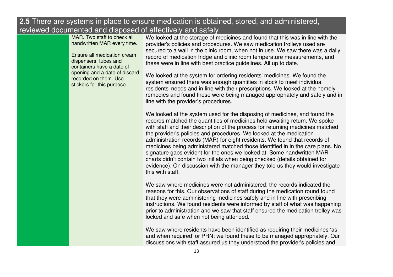#### **2.5** There are systems in place to ensure medication is obtained, stored, and administered, reviewed documented and disposed of effectively and safely.

MAR. Two staff to check all handwritten MAR every time.

Ensure all medication cream dispensers, tubes and containers have a date of opening and a date of discard recorded on them. Use stickers for this purpose.

 We looked at the storage of medicines and found that this was in line with the provider's policies and procedures. We saw medication trolleys used are secured to a wall in the clinic room, when not in use. We saw there was a daily record of medication fridge and clinic room temperature measurements, and these were in line with best practice guidelines. All up to date.

We looked at the system for ordering residents' medicines. We found the system ensured there was enough quantities in stock to meet individual residents' needs and in line with their prescriptions. We looked at the homely remedies and found these were being managed appropriately and safely and in line with the provider's procedures.

We looked at the system used for the disposing of medicines, and found the records matched the quantities of medicines held awaiting return. We spoke with staff and their description of the process for returning medicines matched the provider's policies and procedures. We looked at the medication administration records (MAR) for eight residents. We found that records of medicines being administered matched those identified in in the care plans. No signature gaps evident for the ones we looked at. Some handwritten MAR charts didn't contain two initials when being checked (details obtained for evidence). On discussion with the manager they told us they would investigate this with staff.

We saw where medicines were not administered; the records indicated the reasons for this. Our observations of staff during the medication round found that they were administering medicines safely and in line with prescribing instructions. We found residents were informed by staff of what was happening prior to administration and we saw that staff ensured the medication trolley was locked and safe when not being attended.

We saw where residents have been identified as requiring their medicines 'as and when required' or PRN; we found these to be managed appropriately. Our discussions with staff assured us they understood the provider's policies and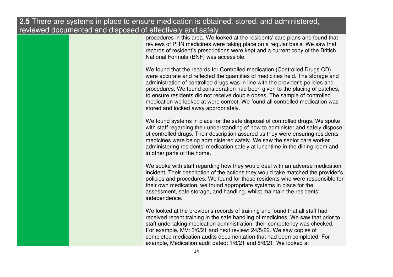#### **2.5** There are systems in place to ensure medication is obtained, stored, and administered, reviewed documented and disposed of effectively and safely.

 procedures in this area. We looked at the residents' care plans and found that reviews of PRN medicines were taking place on a regular basis. We saw that records of resident's prescriptions were kept and a current copy of the British National Formula (BNF) was accessible.

We found that the records for Controlled medication (Controlled Drugs CD) were accurate and reflected the quantities of medicines held. The storage and administration of controlled drugs was in line with the provider's policies and procedures. We found consideration had been given to the placing of patches, to ensure residents did not receive double doses. The sample of controlled medication we looked at were correct. We found all controlled medication was stored and locked away appropriately.

We found systems in place for the safe disposal of controlled drugs. We spoke with staff regarding their understanding of how to administer and safely dispose of controlled drugs. Their description assured us they were ensuring residents medicines were being administered safely. We saw the senior care worker administering residents' medication safely at lunchtime in the dining room and in other parts of the home.

We spoke with staff regarding how they would deal with an adverse medication incident. Their description of the actions they would take matched the provider's policies and procedures. We found for those residents who were responsible for their own medication, we found appropriate systems in place for the assessment, safe storage, and handling, whilst maintain the residents' independence.

We looked at the provider's records of training and found that all staff had received recent training in the safe handling of medicines. We saw that prior to staff undertaking medication administration, their competency was checked. For example, MV: 3/6/21 and next review: 24/5/22. We saw copies of completed medication audits documentation that had been completed. For example, Medication audit dated: 1/8/21 and 8/8/21. We looked at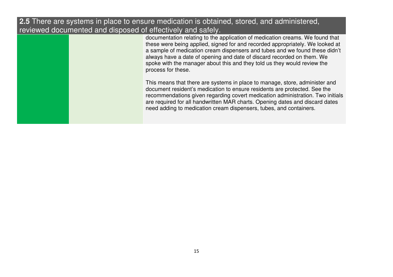**2.5** There are systems in place to ensure medication is obtained, stored, and administered, reviewed documented and disposed of effectively and safely.

> documentation relating to the application of medication creams. We found that these were being applied, signed for and recorded appropriately. We looked at a sample of medication cream dispensers and tubes and we found these didn't always have a date of opening and date of discard recorded on them. We spoke with the manager about this and they told us they would review the process for these.

This means that there are systems in place to manage, store, administer and document resident's medication to ensure residents are protected. See the recommendations given regarding covert medication administration. Two initials are required for all handwritten MAR charts. Opening dates and discard dates need adding to medication cream dispensers, tubes, and containers.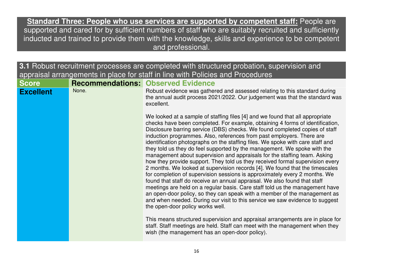**Standard Three: People who use services are supported by competent staff:** People are supported and cared for by sufficient numbers of staff who are suitably recruited and sufficiently inducted and trained to provide them with the knowledge, skills and experience to be competent and professional.

**3.1** Robust recruitment processes are completed with structured probation, supervision and appraisal arrangements in place for staff in line with Policies and Procedures**ScoreRecommendations: Observed Evidence<br>
<b>Excellent** None. Robust evidence was gather Exports **Excellence was gathered and assessed relating to this standard during Robust evidence was gathered and assessed relating to this standard during** the annual audit process 2021/2022. Our judgement was that the standard was excellent. We looked at a sample of staffing files [4] and we found that all appropriate checks have been completed. For example, obtaining 4 forms of identification, Disclosure barring service (DBS) checks. We found completed copies of staff induction programmes. Also, references from past employers. There are identification photographs on the staffing files. We spoke with care staff and they told us they do feel supported by the management. We spoke with the management about supervision and appraisals for the staffing team. Asking how they provide support. They told us they received formal supervision every 2 months. We looked at supervision records [4]. We found that the timescales for completion of supervision sessions is approximately every 2 months. We found that staff do receive an annual appraisal. We also found that staff meetings are held on a regular basis. Care staff told us the management have an open-door policy, so they can speak with a member of the management as and when needed. During our visit to this service we saw evidence to suggest the open-door policy works well. This means structured supervision and appraisal arrangements are in place for staff. Staff meetings are held. Staff can meet with the management when they wish (the management has an open-door policy).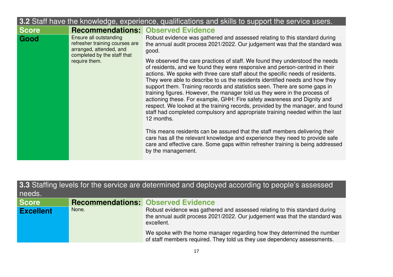| 3.2 Staff have the knowledge, experience, qualifications and skills to support the service users. |                                                                                                                                                                    |                                                                                                                                                                                                                                                                                                                                                                                                                                                                                                                                                                                                                                                                                                                                                        |
|---------------------------------------------------------------------------------------------------|--------------------------------------------------------------------------------------------------------------------------------------------------------------------|--------------------------------------------------------------------------------------------------------------------------------------------------------------------------------------------------------------------------------------------------------------------------------------------------------------------------------------------------------------------------------------------------------------------------------------------------------------------------------------------------------------------------------------------------------------------------------------------------------------------------------------------------------------------------------------------------------------------------------------------------------|
| <b>Score</b>                                                                                      |                                                                                                                                                                    | <b>Recommendations: Observed Evidence</b>                                                                                                                                                                                                                                                                                                                                                                                                                                                                                                                                                                                                                                                                                                              |
| Ensure all outstanding<br>Good<br>refresher training courses are<br>arranged, attended, and       | Robust evidence was gathered and assessed relating to this standard during<br>the annual audit process 2021/2022. Our judgement was that the standard was<br>good. |                                                                                                                                                                                                                                                                                                                                                                                                                                                                                                                                                                                                                                                                                                                                                        |
|                                                                                                   | completed by the staff that<br>require them.                                                                                                                       | We observed the care practices of staff. We found they understood the needs<br>of residents, and we found they were responsive and person-centred in their<br>actions. We spoke with three care staff about the specific needs of residents.<br>They were able to describe to us the residents identified needs and how they<br>support them. Training records and statistics seen. There are some gaps in<br>training figures. However, the manager told us they were in the process of<br>actioning these. For example, GHH: Fire safety awareness and Dignity and<br>respect. We looked at the training records, provided by the manager, and found<br>staff had completed compulsory and appropriate training needed within the last<br>12 months. |
|                                                                                                   |                                                                                                                                                                    | This means residents can be assured that the staff members delivering their<br>care has all the relevant knowledge and experience they need to provide safe<br>care and effective care. Some gaps within refresher training is being addressed<br>by the management.                                                                                                                                                                                                                                                                                                                                                                                                                                                                                   |

| 3.3 Staffing levels for the service are determined and deployed according to people's assessed<br>needs. |                                           |                                                                                                                                                                                                                                                                                                                                |
|----------------------------------------------------------------------------------------------------------|-------------------------------------------|--------------------------------------------------------------------------------------------------------------------------------------------------------------------------------------------------------------------------------------------------------------------------------------------------------------------------------|
| <b>Score</b>                                                                                             | <b>Recommendations: Observed Evidence</b> |                                                                                                                                                                                                                                                                                                                                |
| <b>Excellent</b>                                                                                         | None.                                     | Robust evidence was gathered and assessed relating to this standard during<br>the annual audit process 2021/2022. Our judgement was that the standard was<br>excellent.<br>We spoke with the home manager regarding how they determined the number<br>of staff members required. They told us they use dependency assessments. |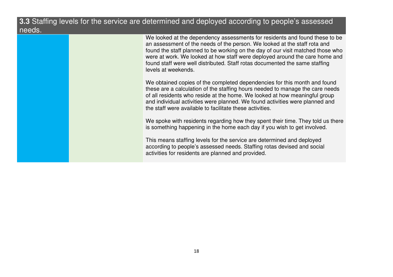#### **3.3** Staffing levels for the service are determined and deployed according to people's assessed needs.

We looked at the dependency assessments for residents and found these to be an assessment of the needs of the person. We looked at the staff rota and found the staff planned to be working on the day of our visit matched those who were at work. We looked at how staff were deployed around the care home and found staff were well distributed. Staff rotas documented the same staffing levels at weekends.

We obtained copies of the completed dependencies for this month and found these are a calculation of the staffing hours needed to manage the care needs of all residents who reside at the home. We looked at how meaningful group and individual activities were planned. We found activities were planned and the staff were available to facilitate these activities.

We spoke with residents regarding how they spent their time. They told us there is something happening in the home each day if you wish to get involved.

This means staffing levels for the service are determined and deployed according to people's assessed needs. Staffing rotas devised and social activities for residents are planned and provided.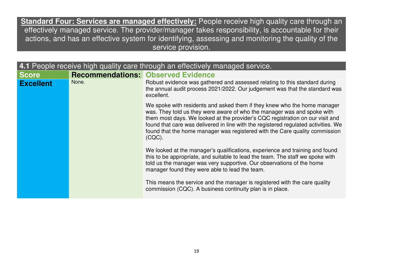**Standard Four: Services are managed effectively:** People receive high quality care through an effectively managed service. The provider/manager takes responsibility, is accountable for their actions, and has an effective system for identifying, assessing and monitoring the quality of the service provision.

| 4.1 People receive high quality care through an effectively managed service. |       |                                                                                                                                                                                                                                                                                                                                                                                                                        |
|------------------------------------------------------------------------------|-------|------------------------------------------------------------------------------------------------------------------------------------------------------------------------------------------------------------------------------------------------------------------------------------------------------------------------------------------------------------------------------------------------------------------------|
| <b>Score</b>                                                                 |       | <b>Recommendations: Observed Evidence</b>                                                                                                                                                                                                                                                                                                                                                                              |
| <b>Excellent</b>                                                             | None. | Robust evidence was gathered and assessed relating to this standard during<br>the annual audit process 2021/2022. Our judgement was that the standard was<br>excellent.                                                                                                                                                                                                                                                |
|                                                                              |       | We spoke with residents and asked them if they knew who the home manager<br>was. They told us they were aware of who the manager was and spoke with<br>them most days. We looked at the provider's CQC registration on our visit and<br>found that care was delivered in line with the registered regulated activities. We<br>found that the home manager was registered with the Care quality commission<br>$(CQC)$ . |
|                                                                              |       | We looked at the manager's qualifications, experience and training and found<br>this to be appropriate, and suitable to lead the team. The staff we spoke with<br>told us the manager was very supportive. Our observations of the home<br>manager found they were able to lead the team.                                                                                                                              |
|                                                                              |       | This means the service and the manager is registered with the care quality<br>commission (CQC). A business continuity plan is in place.                                                                                                                                                                                                                                                                                |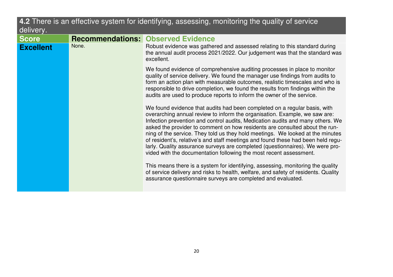| 4.2 There is an effective system for identifying, assessing, monitoring the quality of service<br>delivery. |       |                                                                                                                                                                                                                                                                                                                                                                                                                                                                                                                                                                                                                                                       |
|-------------------------------------------------------------------------------------------------------------|-------|-------------------------------------------------------------------------------------------------------------------------------------------------------------------------------------------------------------------------------------------------------------------------------------------------------------------------------------------------------------------------------------------------------------------------------------------------------------------------------------------------------------------------------------------------------------------------------------------------------------------------------------------------------|
| <b>Score</b>                                                                                                |       | <b>Recommendations: Observed Evidence</b>                                                                                                                                                                                                                                                                                                                                                                                                                                                                                                                                                                                                             |
| <b>Excellent</b>                                                                                            | None. | Robust evidence was gathered and assessed relating to this standard during<br>the annual audit process 2021/2022. Our judgement was that the standard was<br>excellent.                                                                                                                                                                                                                                                                                                                                                                                                                                                                               |
|                                                                                                             |       | We found evidence of comprehensive auditing processes in place to monitor<br>quality of service delivery. We found the manager use findings from audits to<br>form an action plan with measurable outcomes, realistic timescales and who is<br>responsible to drive completion, we found the results from findings within the<br>audits are used to produce reports to inform the owner of the service.                                                                                                                                                                                                                                               |
|                                                                                                             |       | We found evidence that audits had been completed on a regular basis, with<br>overarching annual review to inform the organisation. Example, we saw are:<br>Infection prevention and control audits, Medication audits and many others. We<br>asked the provider to comment on how residents are consulted about the run-<br>ning of the service. They told us they hold meetings. We looked at the minutes<br>of resident's, relative's and staff meetings and found these had been held regu-<br>larly. Quality assurance surveys are completed (questionnaires). We were pro-<br>vided with the documentation following the most recent assessment. |
|                                                                                                             |       | This means there is a system for identifying, assessing, monitoring the quality<br>of service delivery and risks to health, welfare, and safety of residents. Quality<br>assurance questionnaire surveys are completed and evaluated.                                                                                                                                                                                                                                                                                                                                                                                                                 |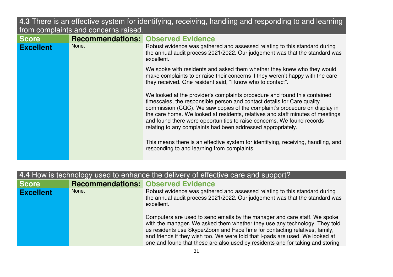**4.3** There is an effective system for identifying, receiving, handling and responding to and learning from complaints and concerns raised.

| <b>Score</b>     |       | <b>Recommendations: Observed Evidence</b>                                                                                                                                                                                                                                                                                                                                                                                                                      |
|------------------|-------|----------------------------------------------------------------------------------------------------------------------------------------------------------------------------------------------------------------------------------------------------------------------------------------------------------------------------------------------------------------------------------------------------------------------------------------------------------------|
| <b>Excellent</b> | None. | Robust evidence was gathered and assessed relating to this standard during<br>the annual audit process 2021/2022. Our judgement was that the standard was<br>excellent.                                                                                                                                                                                                                                                                                        |
|                  |       | We spoke with residents and asked them whether they knew who they would<br>make complaints to or raise their concerns if they weren't happy with the care<br>they received. One resident said, "I know who to contact".                                                                                                                                                                                                                                        |
|                  |       | We looked at the provider's complaints procedure and found this contained<br>timescales, the responsible person and contact details for Care quality<br>commission (CQC). We saw copies of the complaint's procedure on display in<br>the care home. We looked at residents, relatives and staff minutes of meetings<br>and found there were opportunities to raise concerns. We found records<br>relating to any complaints had been addressed appropriately. |
|                  |       | This means there is an effective system for identifying, receiving, handling, and<br>responding to and learning from complaints.                                                                                                                                                                                                                                                                                                                               |

| 4.4 How is technology used to enhance the delivery of effective care and support? |       |                                                                                                                                                                                                                                                                                                                                                                                                          |
|-----------------------------------------------------------------------------------|-------|----------------------------------------------------------------------------------------------------------------------------------------------------------------------------------------------------------------------------------------------------------------------------------------------------------------------------------------------------------------------------------------------------------|
| <b>Score</b>                                                                      |       | <b>Recommendations: Observed Evidence</b>                                                                                                                                                                                                                                                                                                                                                                |
| <b>Excellent</b>                                                                  | None. | Robust evidence was gathered and assessed relating to this standard during<br>the annual audit process 2021/2022. Our judgement was that the standard was<br>excellent.                                                                                                                                                                                                                                  |
|                                                                                   |       | Computers are used to send emails by the manager and care staff. We spoke<br>with the manager. We asked them whether they use any technology. They told<br>us residents use Skype/Zoom and FaceTime for contacting relatives, family,<br>and friends if they wish too. We were told that I-pads are used. We looked at<br>one and found that these are also used by residents and for taking and storing |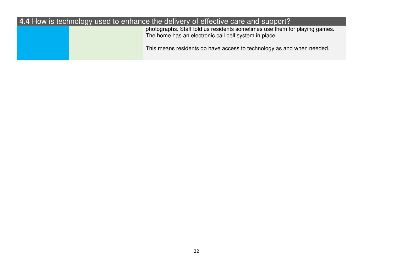### **4.4** How is technology used to enhance the delivery of effective care and support?

 photographs. Staff told us residents sometimes use them for playing games. The home has an electronic call bell system in place.

This means residents do have access to technology as and when needed.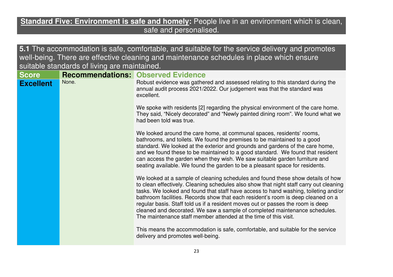#### **Standard Five: Environment is safe and homely:** People live in an environment which is clean, safe and personalised.

**5.1** The accommodation is safe, comfortable, and suitable for the service delivery and promotes well-being. There are effective cleaning and maintenance schedules in place which ensure suitable standards of living are maintained.

| <b>Score</b>     |       | <b>Recommendations: Observed Evidence</b>                                                                                                                                                                                                                                                                                                                                                                                                                                                                                                                                                 |
|------------------|-------|-------------------------------------------------------------------------------------------------------------------------------------------------------------------------------------------------------------------------------------------------------------------------------------------------------------------------------------------------------------------------------------------------------------------------------------------------------------------------------------------------------------------------------------------------------------------------------------------|
| <b>Excellent</b> | None. | Robust evidence was gathered and assessed relating to this standard during the<br>annual audit process 2021/2022. Our judgement was that the standard was<br>excellent.                                                                                                                                                                                                                                                                                                                                                                                                                   |
|                  |       | We spoke with residents [2] regarding the physical environment of the care home.<br>They said, "Nicely decorated" and "Newly painted dining room". We found what we<br>had been told was true.                                                                                                                                                                                                                                                                                                                                                                                            |
|                  |       | We looked around the care home, at communal spaces, residents' rooms,<br>bathrooms, and toilets. We found the premises to be maintained to a good<br>standard. We looked at the exterior and grounds and gardens of the care home,<br>and we found these to be maintained to a good standard. We found that resident<br>can access the garden when they wish. We saw suitable garden furniture and<br>seating available. We found the garden to be a pleasant space for residents.                                                                                                        |
|                  |       | We looked at a sample of cleaning schedules and found these show details of how<br>to clean effectively. Cleaning schedules also show that night staff carry out cleaning<br>tasks. We looked and found that staff have access to hand washing, toileting and/or<br>bathroom facilities. Records show that each resident's room is deep cleaned on a<br>regular basis. Staff told us if a resident moves out or passes the room is deep<br>cleaned and decorated. We saw a sample of completed maintenance schedules.<br>The maintenance staff member attended at the time of this visit. |
|                  |       | This means the accommodation is safe, comfortable, and suitable for the service<br>delivery and promotes well-being.                                                                                                                                                                                                                                                                                                                                                                                                                                                                      |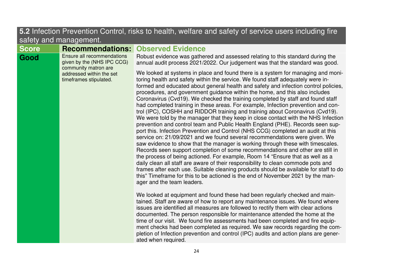| 5.2 Infection Prevention Control, risks to health, welfare and safety of service users including fire<br>safety and management. |                                                                                  |                                                                                                                                                                                                                                                                                                                                                                                                                                                                                                                                                                                                                                                                                                                                                                                                                                                                                                                                                                                                                                                                                                                                                                                                                                                                                                                                                                                                                                                                                                                                                                                                                                                                                                                                                                                                                                                                                                                                                                                                                                                                                                                             |
|---------------------------------------------------------------------------------------------------------------------------------|----------------------------------------------------------------------------------|-----------------------------------------------------------------------------------------------------------------------------------------------------------------------------------------------------------------------------------------------------------------------------------------------------------------------------------------------------------------------------------------------------------------------------------------------------------------------------------------------------------------------------------------------------------------------------------------------------------------------------------------------------------------------------------------------------------------------------------------------------------------------------------------------------------------------------------------------------------------------------------------------------------------------------------------------------------------------------------------------------------------------------------------------------------------------------------------------------------------------------------------------------------------------------------------------------------------------------------------------------------------------------------------------------------------------------------------------------------------------------------------------------------------------------------------------------------------------------------------------------------------------------------------------------------------------------------------------------------------------------------------------------------------------------------------------------------------------------------------------------------------------------------------------------------------------------------------------------------------------------------------------------------------------------------------------------------------------------------------------------------------------------------------------------------------------------------------------------------------------------|
| <b>Score</b>                                                                                                                    | <b>Recommendations:</b>                                                          | <b>Observed Evidence</b>                                                                                                                                                                                                                                                                                                                                                                                                                                                                                                                                                                                                                                                                                                                                                                                                                                                                                                                                                                                                                                                                                                                                                                                                                                                                                                                                                                                                                                                                                                                                                                                                                                                                                                                                                                                                                                                                                                                                                                                                                                                                                                    |
| Good                                                                                                                            | Ensure all recommendations<br>given by the (NHS IPC CCG)<br>community matron are | Robust evidence was gathered and assessed relating to this standard during the<br>annual audit process 2021/2022. Our judgement was that the standard was good.                                                                                                                                                                                                                                                                                                                                                                                                                                                                                                                                                                                                                                                                                                                                                                                                                                                                                                                                                                                                                                                                                                                                                                                                                                                                                                                                                                                                                                                                                                                                                                                                                                                                                                                                                                                                                                                                                                                                                             |
|                                                                                                                                 | addressed within the set<br>timeframes stipulated.                               | We looked at systems in place and found there is a system for managing and moni-<br>toring health and safety within the service. We found staff adequately were in-<br>formed and educated about general health and safety and infection control policies,<br>procedures, and government guidance within the home, and this also includes<br>Coronavirus (Cvd19). We checked the training completed by staff and found staff<br>had completed training in these areas. For example, Infection prevention and con-<br>trol (IPC), COSHH and RIDDOR training and training about Coronavirus (Cvd19).<br>We were told by the manager that they keep in close contact with the NHS Infection<br>prevention and control team and Public Health England (PHE). Records seen sup-<br>port this. Infection Prevention and Control (NHS CCG) completed an audit at this<br>service on: 21/09/2021 and we found several recommendations were given. We<br>saw evidence to show that the manager is working through these with timescales.<br>Records seen support completion of some recommendations and other are still in<br>the process of being actioned. For example, Room 14 "Ensure that as well as a<br>daily clean all staff are aware of their responsibility to clean commode pots and<br>frames after each use. Suitable cleaning products should be available for staff to do<br>this" Timeframe for this to be actioned is the end of November 2021 by the man-<br>ager and the team leaders.<br>We looked at equipment and found these had been regularly checked and main-<br>tained. Staff are aware of how to report any maintenance issues. We found where<br>issues are identified all measures are followed to rectify them with clear actions<br>documented. The person responsible for maintenance attended the home at the<br>time of our visit. We found fire assessments had been completed and fire equip-<br>ment checks had been completed as required. We saw records regarding the com-<br>pletion of Infection prevention and control (IPC) audits and action plans are gener-<br>ated when required. |